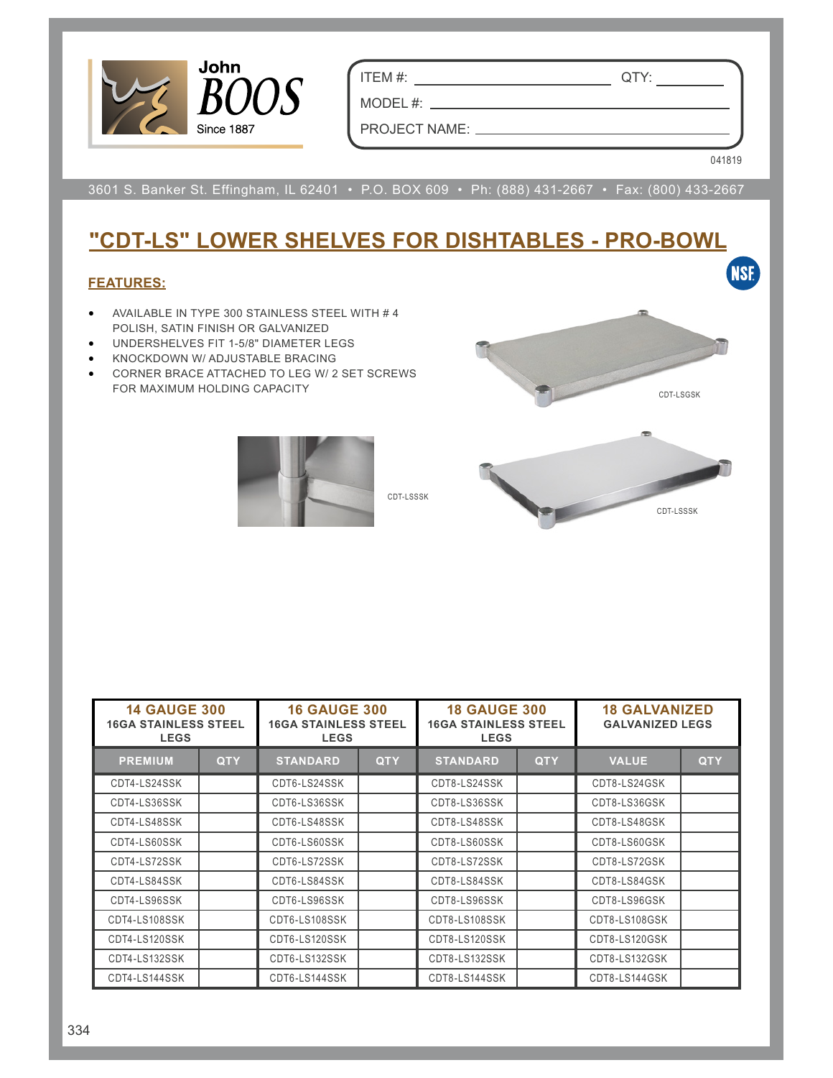

ITEM #: QTY:

PROJECT NAME:  $\_\_$ 

MODEL #:  $\_\_$ 

041819

3601 S. Banker St. Effingham, IL 62401 • P.O. BOX 609 • Ph: (888) 431-2667 • Fax: (800) 433-2667

## **"CDT-LS" LOWER SHELVES FOR DISHTABLES - PRO-BOWL**

## **FEATURES:**

- AVAILABLE IN TYPE 300 STAINLESS STEEL WITH # 4 POLISH, SATIN FINISH OR GALVANIZED
- UNDERSHELVES FIT 1-5/8" DIAMETER LEGS
- KNOCKDOWN W/ ADJUSTABLE BRACING
- CORNER BRACE ATTACHED TO LEG W/ 2 SET SCREWS FOR MAXIMUM HOLDING CAPACITY



CDT-LSSSK



| <b>14 GAUGE 300</b><br><b>16GA STAINLESS STEEL</b><br><b>LEGS</b> |            | <b>16 GAUGE 300</b><br><b>16GA STAINLESS STEEL</b><br><b>LEGS</b> |            | <b>18 GAUGE 300</b><br><b>16GA STAINLESS STEEL</b><br><b>LEGS</b> |            | <b>18 GALVANIZED</b><br><b>GALVANIZED LEGS</b> |            |
|-------------------------------------------------------------------|------------|-------------------------------------------------------------------|------------|-------------------------------------------------------------------|------------|------------------------------------------------|------------|
| <b>PREMIUM</b>                                                    | <b>QTY</b> | <b>STANDARD</b>                                                   | <b>QTY</b> | <b>STANDARD</b>                                                   | <b>QTY</b> | <b>VALUE</b>                                   | <b>QTY</b> |
| CDT4-LS24SSK                                                      |            | CDT6-LS24SSK                                                      |            | CDT8-LS24SSK                                                      |            | CDT8-LS24GSK                                   |            |
| CDT4-LS36SSK                                                      |            | CDT6-LS36SSK                                                      |            | CDT8-LS36SSK                                                      |            | CDT8-LS36GSK                                   |            |
| CDT4-LS48SSK                                                      |            | CDT6-LS48SSK                                                      |            | CDT8-LS48SSK                                                      |            | CDT8-LS48GSK                                   |            |
| CDT4-LS60SSK                                                      |            | CDT6-LS60SSK                                                      |            | CDT8-LS60SSK                                                      |            | CDT8-LS60GSK                                   |            |
| CDT4-LS72SSK                                                      |            | CDT6-LS72SSK                                                      |            | CDT8-LS72SSK                                                      |            | CDT8-LS72GSK                                   |            |
| CDT4-LS84SSK                                                      |            | CDT6-LS84SSK                                                      |            | CDT8-LS84SSK                                                      |            | CDT8-LS84GSK                                   |            |
| CDT4-LS96SSK                                                      |            | CDT6-LS96SSK                                                      |            | CDT8-LS96SSK                                                      |            | CDT8-LS96GSK                                   |            |
| CDT4-LS108SSK                                                     |            | CDT6-LS108SSK                                                     |            | CDT8-LS108SSK                                                     |            | CDT8-LS108GSK                                  |            |
| CDT4-LS120SSK                                                     |            | CDT6-LS120SSK                                                     |            | CDT8-LS120SSK                                                     |            | CDT8-LS120GSK                                  |            |
| CDT4-LS132SSK                                                     |            | CDT6-LS132SSK                                                     |            | CDT8-LS132SSK                                                     |            | CDT8-LS132GSK                                  |            |
| CDT4-LS144SSK                                                     |            | CDT6-LS144SSK                                                     |            | CDT8-LS144SSK                                                     |            | CDT8-LS144GSK                                  |            |